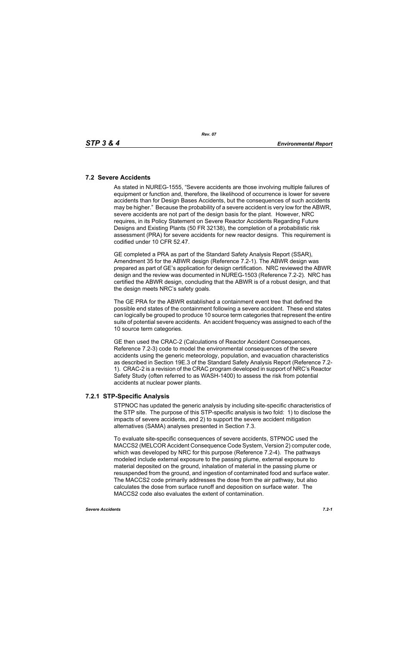#### **7.2 Severe Accidents**

As stated in NUREG-1555, "Severe accidents are those involving multiple failures of equipment or function and, therefore, the likelihood of occurrence is lower for severe accidents than for Design Bases Accidents, but the consequences of such accidents may be higher." Because the probability of a severe accident is very low for the ABWR, severe accidents are not part of the design basis for the plant. However, NRC requires, in its Policy Statement on Severe Reactor Accidents Regarding Future Designs and Existing Plants (50 FR 32138), the completion of a probabilistic risk assessment (PRA) for severe accidents for new reactor designs. This requirement is codified under 10 CFR 52.47.

GE completed a PRA as part of the Standard Safety Analysis Report (SSAR), Amendment 35 for the ABWR design (Reference 7.2-1). The ABWR design was prepared as part of GE's application for design certification. NRC reviewed the ABWR design and the review was documented in NUREG-1503 (Reference 7.2-2). NRC has certified the ABWR design, concluding that the ABWR is of a robust design, and that the design meets NRC's safety goals.

The GE PRA for the ABWR established a containment event tree that defined the possible end states of the containment following a severe accident. These end states can logically be grouped to produce 10 source term categories that represent the entire suite of potential severe accidents. An accident frequency was assigned to each of the 10 source term categories.

GE then used the CRAC-2 (Calculations of Reactor Accident Consequences, Reference 7.2-3) code to model the environmental consequences of the severe accidents using the generic meteorology, population, and evacuation characteristics as described in Section 19E.3 of the Standard Safety Analysis Report (Reference 7.2- 1). CRAC-2 is a revision of the CRAC program developed in support of NRC's Reactor Safety Study (often referred to as WASH-1400) to assess the risk from potential accidents at nuclear power plants.

## **7.2.1 STP-Specific Analysis**

STPNOC has updated the generic analysis by including site-specific characteristics of the STP site. The purpose of this STP-specific analysis is two fold: 1) to disclose the impacts of severe accidents, and 2) to support the severe accident mitigation alternatives (SAMA) analyses presented in Section 7.3.

To evaluate site-specific consequences of severe accidents, STPNOC used the MACCS2 (MELCOR Accident Consequence Code System, Version 2) computer code, which was developed by NRC for this purpose (Reference 7.2-4). The pathways modeled include external exposure to the passing plume, external exposure to material deposited on the ground, inhalation of material in the passing plume or resuspended from the ground, and ingestion of contaminated food and surface water. The MACCS2 code primarily addresses the dose from the air pathway, but also calculates the dose from surface runoff and deposition on surface water. The MACCS2 code also evaluates the extent of contamination.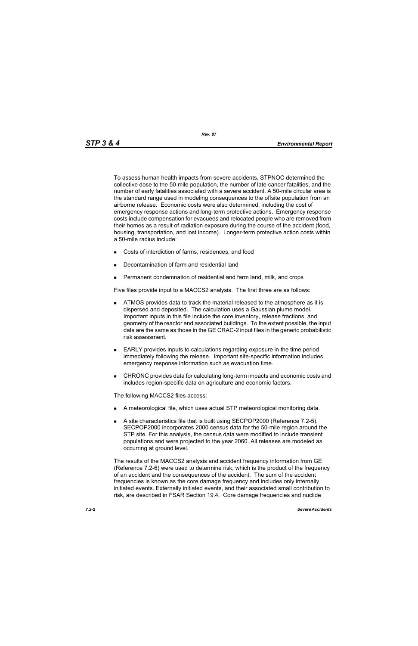To assess human health impacts from severe accidents, STPNOC determined the collective dose to the 50-mile population, the number of late cancer fatalities, and the number of early fatalities associated with a severe accident. A 50-mile circular area is the standard range used in modeling consequences to the offsite population from an airborne release. Economic costs were also determined, including the cost of emergency response actions and long-term protective actions. Emergency response costs include compensation for evacuees and relocated people who are removed from their homes as a result of radiation exposure during the course of the accident (food, housing, transportation, and lost income). Longer-term protective action costs within a 50-mile radius include:

- Costs of interdiction of farms, residences, and food
- Decontamination of farm and residential land
- Permanent condemnation of residential and farm land, milk, and crops

Five files provide input to a MACCS2 analysis. The first three are as follows:

- **ATMOS** provides data to track the material released to the atmosphere as it is dispersed and deposited. The calculation uses a Gaussian plume model. Important inputs in this file include the core inventory, release fractions, and geometry of the reactor and associated buildings. To the extent possible, the input data are the same as those in the GE CRAC-2 input files in the generic probabilistic risk assessment.
- EARLY provides inputs to calculations regarding exposure in the time period immediately following the release. Important site-specific information includes emergency response information such as evacuation time.
- CHRONC provides data for calculating long-term impacts and economic costs and includes region-specific data on agriculture and economic factors.

The following MACCS2 files access:

- A meteorological file, which uses actual STP meteorological monitoring data.
- A site characteristics file that is built using SECPOP2000 (Reference 7.2-5). SECPOP2000 incorporates 2000 census data for the 50-mile region around the STP site. For this analysis, the census data were modified to include transient populations and were projected to the year 2060. All releases are modeled as occurring at ground level.

The results of the MACCS2 analysis and accident frequency information from GE (Reference 7.2-6) were used to determine risk, which is the product of the frequency of an accident and the consequences of the accident. The sum of the accident frequencies is known as the core damage frequency and includes only internally initiated events. Externally initiated events, and their associated small contribution to risk, are described in FSAR Section 19.4. Core damage frequencies and nuclide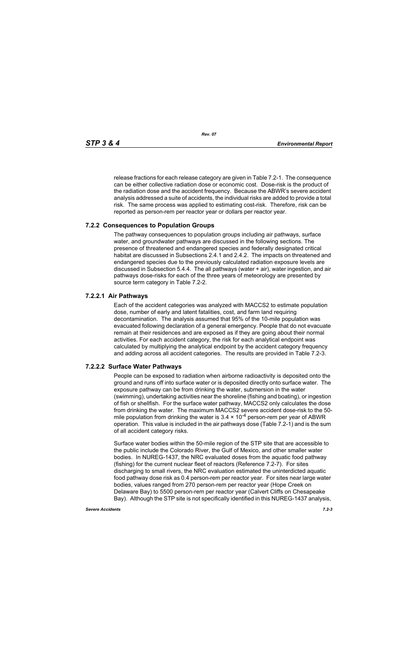*Rev. 07*

release fractions for each release category are given in Table 7.2-1. The consequence can be either collective radiation dose or economic cost. Dose-risk is the product of the radiation dose and the accident frequency. Because the ABWR's severe accident analysis addressed a suite of accidents, the individual risks are added to provide a total risk. The same process was applied to estimating cost-risk. Therefore, risk can be reported as person-rem per reactor year or dollars per reactor year.

#### **7.2.2 Consequences to Population Groups**

The pathway consequences to population groups including air pathways, surface water, and groundwater pathways are discussed in the following sections. The presence of threatened and endangered species and federally designated critical habitat are discussed in Subsections 2.4.1 and 2.4.2. The impacts on threatened and endangered species due to the previously calculated radiation exposure levels are discussed in Subsection 5.4.4. The all pathways (water + air), water ingestion, and air pathways dose-risks for each of the three years of meteorology are presented by source term category in Table 7.2-2.

#### **7.2.2.1 Air Pathways**

Each of the accident categories was analyzed with MACCS2 to estimate population dose, number of early and latent fatalities, cost, and farm land requiring decontamination. The analysis assumed that 95% of the 10-mile population was evacuated following declaration of a general emergency. People that do not evacuate remain at their residences and are exposed as if they are going about their normal activities. For each accident category, the risk for each analytical endpoint was calculated by multiplying the analytical endpoint by the accident category frequency and adding across all accident categories. The results are provided in Table 7.2-3.

#### **7.2.2.2 Surface Water Pathways**

People can be exposed to radiation when airborne radioactivity is deposited onto the ground and runs off into surface water or is deposited directly onto surface water. The exposure pathway can be from drinking the water, submersion in the water (swimming), undertaking activities near the shoreline (fishing and boating), or ingestion of fish or shellfish. For the surface water pathway, MACCS2 only calculates the dose from drinking the water. The maximum MACCS2 severe accident dose-risk to the 50 mile population from drinking the water is  $3.4 \times 10^{-4}$  person-rem per year of ABWR operation. This value is included in the air pathways dose (Table 7.2-1) and is the sum of all accident category risks.

Surface water bodies within the 50-mile region of the STP site that are accessible to the public include the Colorado River, the Gulf of Mexico, and other smaller water bodies. In NUREG-1437, the NRC evaluated doses from the aquatic food pathway (fishing) for the current nuclear fleet of reactors (Reference 7.2-7). For sites discharging to small rivers, the NRC evaluation estimated the uninterdicted aquatic food pathway dose risk as 0.4 person-rem per reactor year. For sites near large water bodies, values ranged from 270 person-rem per reactor year (Hope Creek on Delaware Bay) to 5500 person-rem per reactor year (Calvert Cliffs on Chesapeake Bay). Although the STP site is not specifically identified in this NUREG-1437 analysis,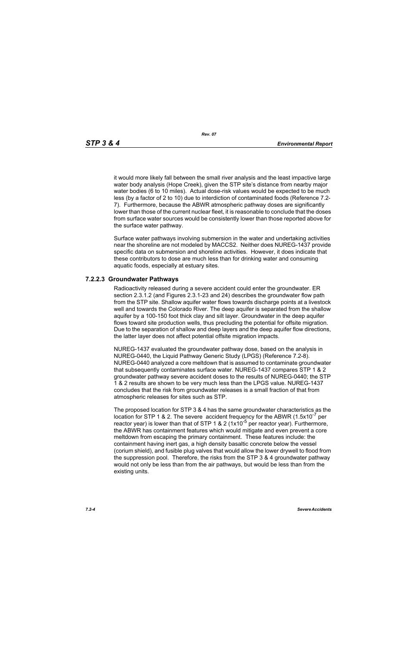*Rev. 07*

it would more likely fall between the small river analysis and the least impactive large water body analysis (Hope Creek), given the STP site's distance from nearby major water bodies (6 to 10 miles). Actual dose-risk values would be expected to be much less (by a factor of 2 to 10) due to interdiction of contaminated foods (Reference 7.2- 7). Furthermore, because the ABWR atmospheric pathway doses are significantly lower than those of the current nuclear fleet, it is reasonable to conclude that the doses from surface water sources would be consistently lower than those reported above for the surface water pathway.

Surface water pathways involving submersion in the water and undertaking activities near the shoreline are not modeled by MACCS2. Neither does NUREG-1437 provide specific data on submersion and shoreline activities. However, it does indicate that these contributors to dose are much less than for drinking water and consuming aquatic foods, especially at estuary sites.

#### **7.2.2.3 Groundwater Pathways**

Radioactivity released during a severe accident could enter the groundwater. ER section 2.3.1.2 (and Figures 2.3.1-23 and 24) describes the groundwater flow path from the STP site. Shallow aquifer water flows towards discharge points at a livestock well and towards the Colorado River. The deep aquifer is separated from the shallow aquifer by a 100-150 foot thick clay and silt layer. Groundwater in the deep aquifer flows toward site production wells, thus precluding the potential for offsite migration. Due to the separation of shallow and deep layers and the deep aquifer flow directions, the latter layer does not affect potential offsite migration impacts.

NUREG-1437 evaluated the groundwater pathway dose, based on the analysis in NUREG-0440, the Liquid Pathway Generic Study (LPGS) (Reference 7.2-8). NUREG-0440 analyzed a core meltdown that is assumed to contaminate groundwater that subsequently contaminates surface water. NUREG-1437 compares STP 1 & 2 groundwater pathway severe accident doses to the results of NUREG-0440; the STP 1 & 2 results are shown to be very much less than the LPGS value. NUREG-1437 concludes that the risk from groundwater releases is a small fraction of that from atmospheric releases for sites such as STP.

The proposed location for STP 3 & 4 has the same groundwater characteristics as the location for STP 1 & 2. The severe accident frequency for the ABWR  $(1.5x10^{-7}$  per reactor year) is lower than that of STP 1 & 2 ( $1x10^{-5}$  per reactor year). Furthermore, the ABWR has containment features which would mitigate and even prevent a core meltdown from escaping the primary containment. These features include: the containment having inert gas, a high density basaltic concrete below the vessel (corium shield), and fusible plug valves that would allow the lower drywell to flood from the suppression pool. Therefore, the risks from the STP 3 & 4 groundwater pathway would not only be less than from the air pathways, but would be less than from the existing units.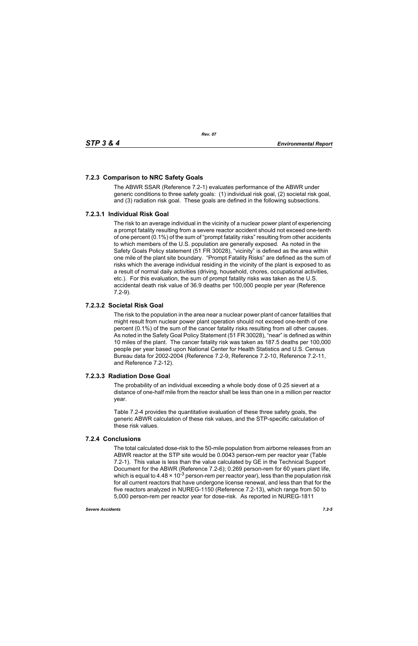# **7.2.3 Comparison to NRC Safety Goals**

The ABWR SSAR (Reference 7.2-1) evaluates performance of the ABWR under generic conditions to three safety goals: (1) individual risk goal, (2) societal risk goal, and (3) radiation risk goal. These goals are defined in the following subsections.

## **7.2.3.1 Individual Risk Goal**

The risk to an average individual in the vicinity of a nuclear power plant of experiencing a prompt fatality resulting from a severe reactor accident should not exceed one-tenth of one percent (0.1%) of the sum of "prompt fatality risks" resulting from other accidents to which members of the U.S. population are generally exposed. As noted in the Safety Goals Policy statement (51 FR 30028), "vicinity" is defined as the area within one mile of the plant site boundary. "Prompt Fatality Risks" are defined as the sum of risks which the average individual residing in the vicinity of the plant is exposed to as a result of normal daily activities (driving, household, chores, occupational activities, etc.). For this evaluation, the sum of prompt fatality risks was taken as the U.S. accidental death risk value of 36.9 deaths per 100,000 people per year (Reference 7.2-9).

## **7.2.3.2 Societal Risk Goal**

The risk to the population in the area near a nuclear power plant of cancer fatalities that might result from nuclear power plant operation should not exceed one-tenth of one percent (0.1%) of the sum of the cancer fatality risks resulting from all other causes. As noted in the Safety Goal Policy Statement (51 FR 30028), "near" is defined as within 10 miles of the plant. The cancer fatality risk was taken as 187.5 deaths per 100,000 people per year based upon National Center for Health Statistics and U.S. Census Bureau data for 2002-2004 (Reference 7.2-9, Reference 7.2-10, Reference 7.2-11, and Reference 7.2-12).

## **7.2.3.3 Radiation Dose Goal**

The probability of an individual exceeding a whole body dose of 0.25 sievert at a distance of one-half mile from the reactor shall be less than one in a million per reactor year.

Table 7.2-4 provides the quantitative evaluation of these three safety goals, the generic ABWR calculation of these risk values, and the STP-specific calculation of these risk values.

## **7.2.4 Conclusions**

The total calculated dose-risk to the 50-mile population from airborne releases from an ABWR reactor at the STP site would be 0.0043 person-rem per reactor year (Table 7.2-1). This value is less than the value calculated by GE in the Technical Support Document for the ABWR (Reference 7.2-6); 0.269 person-rem for 60 years plant life, which is equal to 4.48  $\times$  10<sup>-3</sup> person-rem per reactor year), less than the population risk for all current reactors that have undergone license renewal, and less than that for the five reactors analyzed in NUREG-1150 (Reference 7.2-13), which range from 50 to 5,000 person-rem per reactor year for dose-risk. As reported in NUREG-1811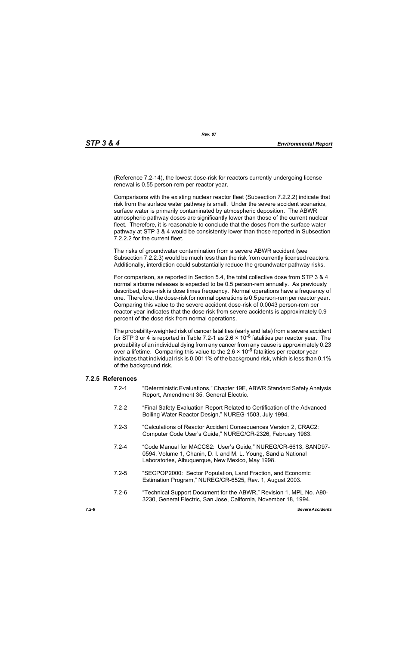(Reference 7.2-14), the lowest dose-risk for reactors currently undergoing license renewal is 0.55 person-rem per reactor year.

Comparisons with the existing nuclear reactor fleet (Subsection 7.2.2.2) indicate that risk from the surface water pathway is small. Under the severe accident scenarios, surface water is primarily contaminated by atmospheric deposition. The ABWR atmospheric pathway doses are significantly lower than those of the current nuclear fleet. Therefore, it is reasonable to conclude that the doses from the surface water pathway at STP 3 & 4 would be consistently lower than those reported in Subsection 7.2.2.2 for the current fleet.

The risks of groundwater contamination from a severe ABWR accident (see Subsection 7.2.2.3) would be much less than the risk from currently licensed reactors. Additionally, interdiction could substantially reduce the groundwater pathway risks.

For comparison, as reported in Section 5.4, the total collective dose from STP 3 & 4 normal airborne releases is expected to be 0.5 person-rem annually. As previously described, dose-risk is dose times frequency. Normal operations have a frequency of one. Therefore, the dose-risk for normal operations is 0.5 person-rem per reactor year. Comparing this value to the severe accident dose-risk of 0.0043 person-rem per reactor year indicates that the dose risk from severe accidents is approximately 0.9 percent of the dose risk from normal operations.

The probability-weighted risk of cancer fatalities (early and late) from a severe accident for STP 3 or 4 is reported in Table 7.2-1 as 2.6  $\times$  10<sup>-6</sup> fatalities per reactor year. The probability of an individual dying from any cancer from any cause is approximately 0.23 over a lifetime. Comparing this value to the  $2.6 \times 10^{-6}$  fatalities per reactor year indicates that individual risk is 0.0011% of the background risk, which is less than 0.1% of the background risk.

#### **7.2.5 References**

- 7.2-1 "Deterministic Evaluations," Chapter 19E, ABWR Standard Safety Analysis Report, Amendment 35, General Electric.
- 7.2-2 "Final Safety Evaluation Report Related to Certification of the Advanced Boiling Water Reactor Design," NUREG-1503, July 1994.
- 7.2-3 "Calculations of Reactor Accident Consequences Version 2, CRAC2: Computer Code User's Guide," NUREG/CR-2326, February 1983.
- 7.2-4 "Code Manual for MACCS2: User's Guide," NUREG/CR-6613, SAND97- 0594, Volume 1, Chanin, D. I. and M. L. Young, Sandia National Laboratories, Albuquerque, New Mexico, May 1998.
- 7.2-5 "SECPOP2000: Sector Population, Land Fraction, and Economic Estimation Program," NUREG/CR-6525, Rev. 1, August 2003.
- 7.2-6 "Technical Support Document for the ABWR," Revision 1, MPL No. A90- 3230, General Electric, San Jose, California, November 18, 1994.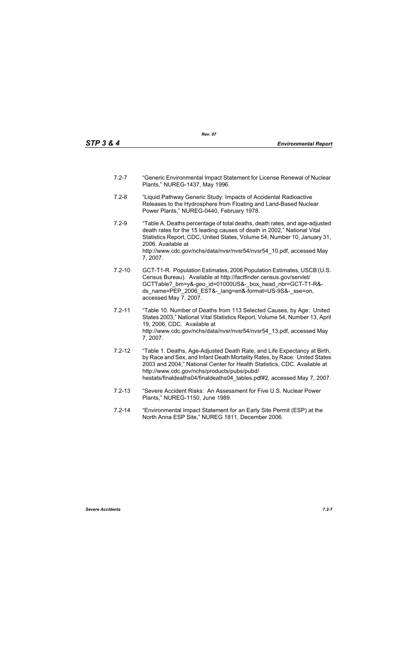- 7.2-7 "Generic Environmental Impact Statement for License Renewal of Nuclear Plants," NUREG-1437, May 1996.
- 7.2-8 "Liquid Pathway Generic Study: Impacts of Accidental Radioactive Releases to the Hydrosphere from Floating and Land-Based Nuclear Power Plants," NUREG-0440, February 1978.
- 7.2-9 "Table A. Deaths percentage of total deaths, death rates, and age-adjusted death rates for the 15 leading causes of death in 2002," National Vital Statistics Report, CDC, United States, Volume 54, Number 10, January 31, 2006. Available at http://www.cdc.gov/nchs/data/nvsr/nvsr54/nvsr54\_10.pdf, accessed May 7, 2007.
- 7.2-10 GCT-T1-R. Population Estimates, 2006 Population Estimates, USCB (U.S. Census Bureau). Available at http://factfinder.census.gov/servlet/ GCTTable? bm=y&-geo\_id=01000US&-\_box\_head\_nbr=GCT-T1-R&ds\_name=PEP\_2006\_EST&-\_lang=en&-format=US-9S&-\_sse=on, accessed May 7, 2007.
- 7.2-11 "Table 10. Number of Deaths from 113 Selected Causes, by Age: United States 2003," National Vital Statistics Report, Volume 54, Number 13, April 19, 2006, CDC. Available at http://www.cdc.gov/nchs/data/nvsr/nvsr54/nvsr54\_13.pdf, accessed May 7, 2007.
- 7.2-12 "Table 1. Deaths, Age-Adjusted Death Rate, and Life Expectancy at Birth, by Race and Sex, and Infant Death Mortality Rates, by Race: United States 2003 and 2004," National Center for Health Statistics, CDC. Available at http://www.cdc.gov/nchs/products/pubs/pubd/ hestats/finaldeaths04/finaldeaths04\_tables.pdf#2, accessed May 7, 2007.
- 7.2-13 "Severe Accident Risks: An Assessment for Five U.S. Nuclear Power Plants," NUREG-1150, June 1989.
- 7.2-14 "Environmental Impact Statement for an Early Site Permit (ESP) at the North Anna ESP Site," NUREG 1811, December 2006.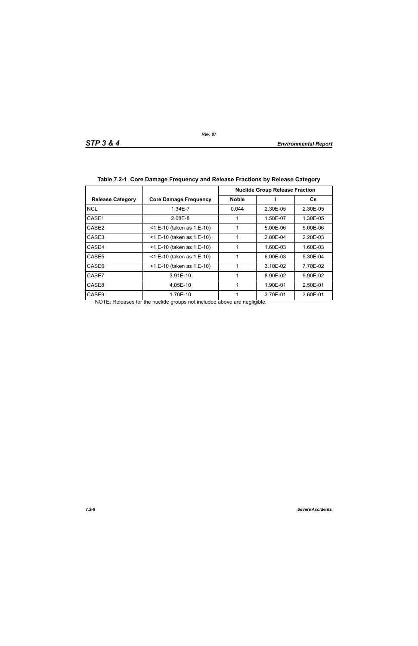|                         |                              | <b>Nuclide Group Release Fraction</b> |          |          |
|-------------------------|------------------------------|---------------------------------------|----------|----------|
| <b>Release Category</b> | <b>Core Damage Frequency</b> | <b>Noble</b>                          |          | Cs       |
| <b>NCL</b>              | 1.34E-7                      | 0.044                                 | 2.30E-05 | 2.30E-05 |
| CASE1                   | 2.08E-8                      |                                       | 1.50E-07 | 1.30E-05 |
| CASE <sub>2</sub>       | $<$ 1.E-10 (taken as 1.E-10) | 1                                     | 5.00E-06 | 5.00E-06 |
| CASE3                   | $<$ 1.E-10 (taken as 1.E-10) | 1                                     | 2.80E-04 | 2.20E-03 |
| CASE4                   | <1.E-10 (taken as 1.E-10)    | 1                                     | 1.60E-03 | 1.60E-03 |
| CASE <sub>5</sub>       | $<$ 1.E-10 (taken as 1.E-10) |                                       | 6.00E-03 | 5.30E-04 |
| CASE6                   | $<$ 1.E-10 (taken as 1.E-10) | 1                                     | 3.10E-02 | 7.70E-02 |
| CASE7                   | 3.91E-10                     | 1                                     | 8.90E-02 | 9.90E-02 |
| CASE8                   | 4.05E-10                     | 1                                     | 1.90E-01 | 2.50E-01 |
| CASE <sub>9</sub>       | 1.70E-10                     |                                       | 3.70E-01 | 3.60E-01 |

NOTE: Releases for the nuclide groups not included above are negligible.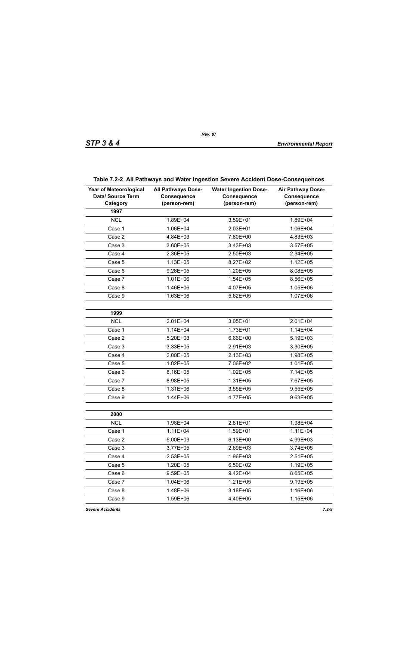| <b>Year of Meteorological</b><br>Data/ Source Term<br>Category | <b>All Pathways Dose-</b><br><b>Consequence</b><br>(person-rem) | <b>Water Ingestion Dose-</b><br><b>Consequence</b><br>(person-rem) | <b>Air Pathway Dose-</b><br><b>Consequence</b><br>(person-rem) |
|----------------------------------------------------------------|-----------------------------------------------------------------|--------------------------------------------------------------------|----------------------------------------------------------------|
| 1997                                                           |                                                                 |                                                                    |                                                                |
| <b>NCL</b>                                                     | 1.89E+04                                                        | 3.59E+01                                                           | 1.89E+04                                                       |
| Case 1                                                         | 1.06E+04                                                        | 2.03E+01                                                           | 1.06E+04                                                       |
| Case 2                                                         | 4.84E+03                                                        | 7.80E+00                                                           | 4.83E+03                                                       |
| Case 3                                                         | 3.60E+05                                                        | 3.43E+03                                                           | $3.57E + 05$                                                   |
| Case 4                                                         | 2.36E+05                                                        | 2.50E+03                                                           | 2.34E+05                                                       |
| Case 5                                                         | $1.13E + 05$                                                    | 8.27E+02                                                           | $1.12E + 05$                                                   |
| Case 6                                                         | $9.28E + 05$                                                    | $1.20E + 05$                                                       | 8.08E+05                                                       |
| Case 7                                                         | $1.01E + 06$                                                    | $1.54E + 05$                                                       | 8.56E+05                                                       |
| Case 8                                                         | 1.46E+06                                                        | 4.07E+05                                                           | $1.05E + 06$                                                   |
| Case 9                                                         | $1.63E + 06$                                                    | $5.62E + 05$                                                       | $1.07E + 06$                                                   |
|                                                                |                                                                 |                                                                    |                                                                |
| 1999                                                           |                                                                 |                                                                    |                                                                |
| <b>NCL</b>                                                     | 2.01E+04                                                        | 3.05E+01                                                           | $2.01E + 04$                                                   |
| Case 1                                                         | $1.14E + 04$                                                    | $1.73E + 01$                                                       | $1.14E + 04$                                                   |
| Case 2                                                         | $5.20E + 03$                                                    | 6.66E+00                                                           | $5.19E + 03$                                                   |
| Case 3                                                         | 3.33E+05                                                        | 2.91E+03                                                           | 3.30E+05                                                       |
| Case 4                                                         | 2.00E+05                                                        | $2.13E + 03$                                                       | 1.98E+05                                                       |
| Case 5                                                         | $1.02E + 05$                                                    | 7.06E+02                                                           | $1.01E + 05$                                                   |
| Case 6                                                         | 8.16E+05                                                        | $1.02E + 05$                                                       | 7.14E+05                                                       |
| Case 7                                                         | 8.98E+05                                                        | $1.31E + 05$                                                       | 7.67E+05                                                       |
| Case 8                                                         | $1.31E + 06$                                                    | $3.55E + 05$                                                       | $9.55E + 05$                                                   |
| Case 9                                                         | 1.44E+06                                                        | 4.77E+05                                                           | $9.63E + 05$                                                   |
|                                                                |                                                                 |                                                                    |                                                                |
| 2000                                                           |                                                                 |                                                                    |                                                                |
| <b>NCL</b>                                                     | 1.98E+04                                                        | $2.81E + 01$                                                       | 1.98E+04                                                       |
| Case 1                                                         | $1.11E + 04$                                                    | 1.59E+01                                                           | $1.11E + 04$                                                   |
| Case 2                                                         | $5.00E + 03$                                                    | $6.13E + 00$                                                       | 4.99E+03                                                       |
| Case 3                                                         | $3.77E + 05$                                                    | 2.69E+03                                                           | $3.74E + 05$                                                   |
| Case 4                                                         | $2.53E + 05$                                                    | 1.96E+03                                                           | $2.51E+05$                                                     |
| Case 5                                                         | 1.20E+05                                                        | 6.50E+02                                                           | $1.19E + 05$                                                   |
| Case 6                                                         | $9.59E + 05$                                                    | $9.42E + 04$                                                       | 8.65E+05                                                       |
| Case 7                                                         | $1.04E + 06$                                                    | $1.21E + 05$                                                       | $9.19E + 05$                                                   |
| Case 8                                                         | 1.48E+06                                                        | $3.18E + 05$                                                       | 1.16E+06                                                       |
| Case 9                                                         | 1.59E+06                                                        | 4.40E+05                                                           | 1.15E+06                                                       |

# **Table 7.2-2 All Pathways and Water Ingestion Severe Accident Dose-Consequences**